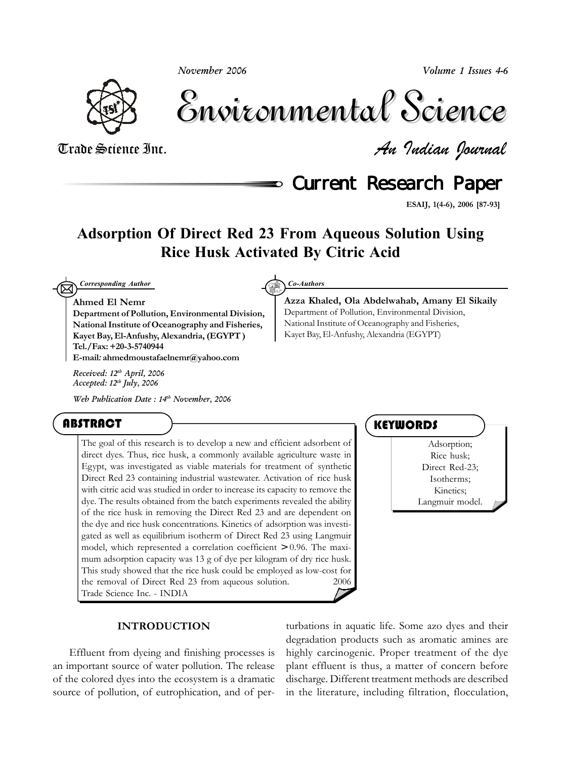*November 2006*

*Volume 1 Issues 4-6*



Environmental Science Environmental Science

Trade Science Inc. *An Indian Journal*

**Current Research Paper** 

**Azza Khaled, Ola Abdelwahab, Amany El Sikaily**

Department of Pollution, Environmental Division, National Institute of Oceanography and Fisheries, Kayet Bay, El-Anfushy, Alexandria (EGYPT)

**ESAIJ, 1(4-6), 2006 [87-93]**

# **Adsorption Of Direct Red 23 From Aqueous Solution Using Rice Husk Activated By Citric Acid**

 $\boxtimes$ *Corresponding Author Co-Authors*

### **Ahmed El Nemr**

**Department of Pollution, Environmental Division, National Institute of Oceanography and Fisheries, Kayet Bay, El-Anfushy, Alexandria, (EGYPT ) Tel./Fax: +20-3-5740944 E-mail***:* **ahmedmoustafaelnemr@yahoo.com**

*Received: 12th April, 2006 Accepted: 12th July, 2006*

*Web Publication Date : 14th November, 2006*

## ABSTRACT

The goal of this research is to develop a new and efficient adsorbent of direct dyes. Thus, rice husk, a commonly available agriculture waste in Egypt, was investigated as viable materials for treatment of synthetic Direct Red 23 containing industrial wastewater. Activation of rice husk with citric acid was studied in order to increase its capacity to remove the dye. The results obtained from the batch experiments revealed the ability of the rice husk in removing the Direct Red 23 and are dependent on the dye and rice husk concentrations. Kinetics of adsorption was investigated as well as equilibrium isotherm of Direct Red 23 using Langmuir model, which represented a correlation coefficient > 0.96. The maximum adsorption capacity was 13 g of dye per kilogram of dry rice husk. This study showed that the rice husk could be employed as low-cost for the removal of Direct Red 23 from aqueous solution.  $\qquad \qquad \oslash 2006$ Trade Science Inc. - INDIA

## **KEYWORDS**

Adsorption; Rice husk; Direct Red-23; Isotherms; Kinetics; Langmuir model.

### **INTRODUCTION**

Effluent from dyeing and finishing processes is an important source of water pollution. The release of the colored dyes into the ecosystem is a dramatic source of pollution, of eutrophication, and of per-

turbations in aquatic life. Some azo dyes and their degradation products such as aromatic amines are highly carcinogenic. Proper treatment of the dye plant effluent is thus, a matter of concern before discharge. Different treatment methods are described in the literature, including filtration, flocculation,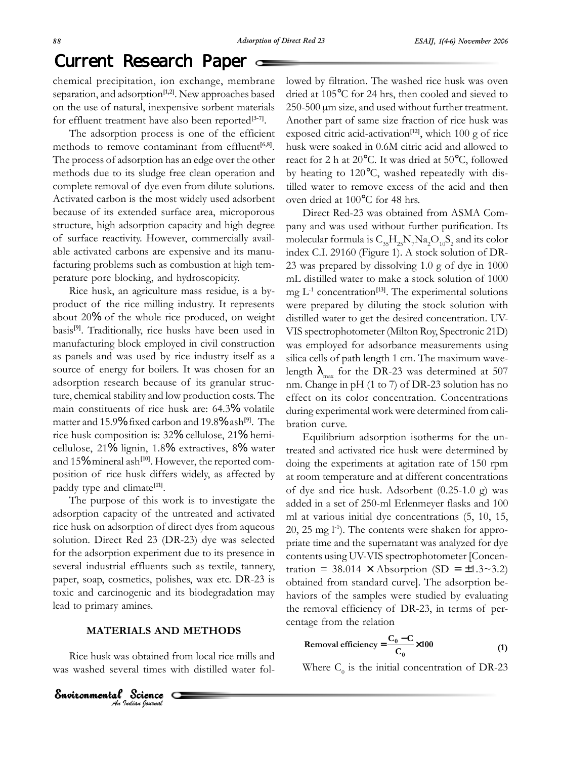## Current Research Paper

chemical precipitation, ion exchange, membrane separation, and adsorption**[1,2]**. New approaches based on the use of natural, inexpensive sorbent materials for effluent treatment have also been reported**[3-7]**.

The adsorption process is one of the efficient methods to remove contaminant from effluent<sup>[6,8]</sup>. The process of adsorption has an edge over the other methods due to its sludge free clean operation and complete removal of dye even from dilute solutions. Activated carbon is the most widely used adsorbent because of its extended surface area, microporous structure, high adsorption capacity and high degree of surface reactivity. However, commercially available activated carbons are expensive and its manufacturing problems such as combustion at high temperature pore blocking, and hydroscopicity.

Rice husk, an agriculture mass residue, is a byproduct of the rice milling industry. It represents about 20% of the whole rice produced, on weight basis**[9]**. Traditionally, rice husks have been used in manufacturing block employed in civil construction as panels and was used by rice industry itself as a source of energy for boilers. It was chosen for an adsorption research because of its granular structure, chemical stability and low production costs. The main constituents of rice husk are: 64.3% volatile matter and 15.9% fixed carbon and 19.8% ash**[9]**. The rice husk composition is: 32% cellulose, 21% hemicellulose, 21% lignin, 1.8% extractives, 8% water and 15% mineral ash**[10]**. However, the reported composition of rice husk differs widely, as affected by paddy type and climate**[11]**.

The purpose of this work is to investigate the adsorption capacity of the untreated and activated rice husk on adsorption of direct dyes from aqueous solution. Direct Red 23 (DR-23) dye was selected for the adsorption experiment due to its presence in several industrial effluents such as textile, tannery, paper, soap, cosmetics, polishes, wax etc. DR-23 is toxic and carcinogenic and its biodegradation may lead to primary amines.

## **MATERIALS AND METHODS**

Rice husk was obtained from local rice mills and was washed several times with distilled water fol-

**Environmental Science**<br>An Indian Journal

lowed by filtration. The washed rice husk was oven dried at 105°C for 24 hrs, then cooled and sieved to 250-500 µm size, and used without further treatment. Another part of same size fraction of rice husk was exposed citric acid-activation**[12]**, which 100 g of rice husk were soaked in 0.6M citric acid and allowed to react for 2 h at 20°C. It was dried at 50°C, followed by heating to 120°C, washed repeatedly with distilled water to remove excess of the acid and then oven dried at 100°C for 48 hrs.

Direct Red-23 was obtained from ASMA Company and was used without further purification. Its molecular formula is  $\rm C_{35}H_{25}N_{7}Na_2O_{10}S_2$  and its color index C.I. 29160 (Figure 1). A stock solution of DR-23 was prepared by dissolving 1.0 g of dye in 1000 mL distilled water to make a stock solution of 1000 mg  $L^{-1}$  concentration<sup>[13]</sup>. The experimental solutions were prepared by diluting the stock solution with distilled water to get the desired concentration. UV-VIS spectrophotometer (Milton Roy, Spectronic 21D) was employed for adsorbance measurements using silica cells of path length 1 cm. The maximum wavelength  $\lambda_{\text{max}}$  for the DR-23 was determined at 507 nm. Change in pH (1 to 7) of DR-23 solution has no effect on its color concentration. Concentrations during experimental work were determined from calibration curve.

Equilibrium adsorption isotherms for the untreated and activated rice husk were determined by doing the experiments at agitation rate of 150 rpm at room temperature and at different concentrations of dye and rice husk. Adsorbent (0.25-1.0 g) was added in a set of 250-ml Erlenmeyer flasks and 100 ml at various initial dye concentrations (5, 10, 15,  $20$ ,  $25 \text{ mg }$  $\text{L}$ <sup>1</sup> $\text{)}$ . The contents were shaken for appropriate time and the supernatant was analyzed for dye contents using UV-VIS spectrophotometer [Concentration = 38.014  $\times$  Absorption (SD = ±1.3~3.2) obtained from standard curve]. The adsorption behaviors of the samples were studied by evaluating the removal efficiency of DR-23, in terms of percentage from the relation

$$
Removal efficiency = \frac{C_0 - C}{C_0} \times 100
$$
 (1)

Where  $C_0$  is the initial concentration of DR-23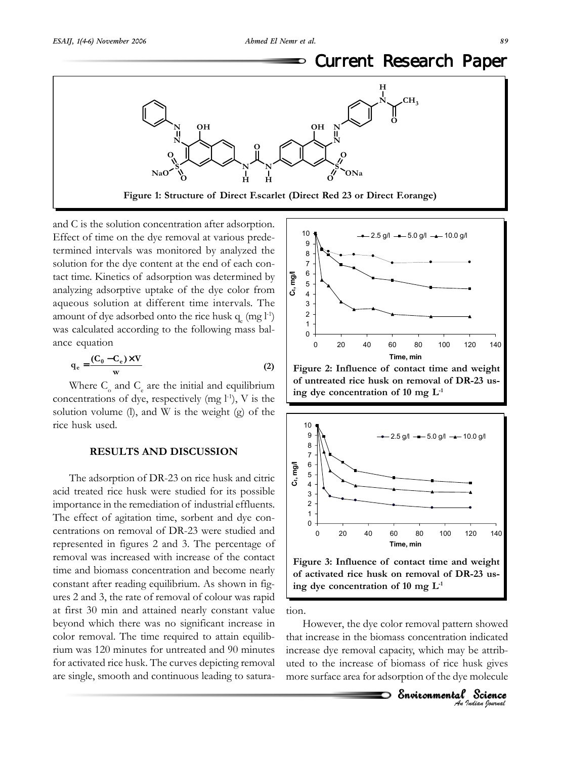#### Current Research Paper ⅁



and C is the solution concentration after adsorption. Effect of time on the dye removal at various predetermined intervals was monitored by analyzed the solution for the dye content at the end of each contact time. Kinetics of adsorption was determined by analyzing adsorptive uptake of the dye color from aqueous solution at different time intervals. The amount of dye adsorbed onto the rice husk  $q_{e}$  (mg  $l^{-1}$ ) was calculated according to the following mass balance equation

$$
q_e = \frac{(C_0 - C_e) \times V}{w}
$$
 (2)

Where  $C_{o}$  and  $C_{e}$  are the initial and equilibrium concentrations of dye, respectively (mg  $l^{-1}$ ), V is the solution volume  $(l)$ , and W is the weight  $(g)$  of the rice husk used.

### **RESULTS AND DISCUSSION**

The adsorption of DR-23 on rice husk and citric acid treated rice husk were studied for its possible importance in the remediation of industrial effluents. The effect of agitation time, sorbent and dye concentrations on removal of DR-23 were studied and represented in figures 2 and 3. The percentage of removal was increased with increase of the contact time and biomass concentration and become nearly constant after reading equilibrium. As shown in figures 2 and 3, the rate of removal of colour was rapid at first 30 min and attained nearly constant value beyond which there was no significant increase in color removal. The time required to attain equilibrium was 120 minutes for untreated and 90 minutes for activated rice husk. The curves depicting removal are single, smooth and continuous leading to satura-



**Figure 2: Influence of contact time and weight of untreated rice husk on removal of DR-23 using dye concentration of 10 mg L-1**



**of activated rice husk on removal of DR-23 using dye concentration of 10 mg L-1**

tion.

However, the dye color removal pattern showed that increase in the biomass concentration indicated increase dye removal capacity, which may be attributed to the increase of biomass of rice husk gives more surface area for adsorption of the dye molecule

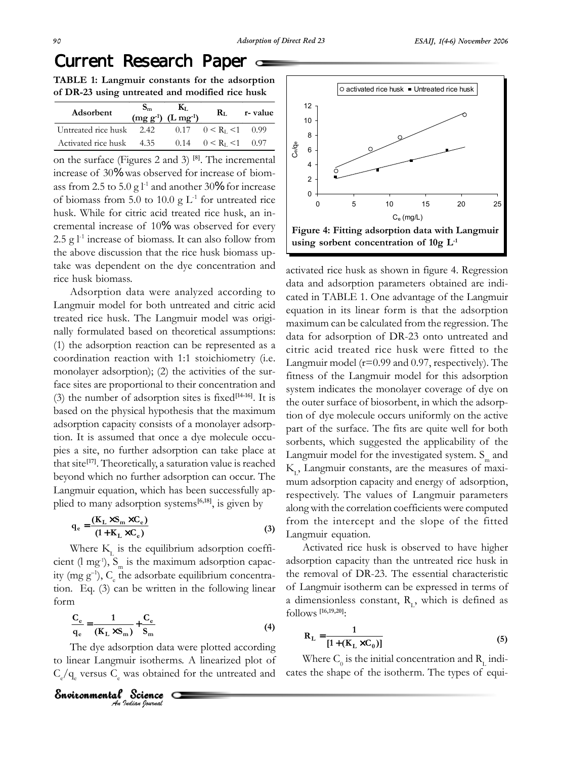## Current Research Paper

**TABLE 1: Langmuir constants for the adsorption of DR-23 using untreated and modified rice husk**

| Adsorbent                | $\mathbf{S}_{\mathbf{m}}$ | Kт.<br>$(mg g^{-1})$ (L mg <sup>-1</sup> ) | Rт.                                       | r-value |
|--------------------------|---------------------------|--------------------------------------------|-------------------------------------------|---------|
| Untreated rice husk 2.42 |                           |                                            | $0.17 \quad 0 \le R_{I} \le 1 \quad 0.99$ |         |
| Activated rice husk 4.35 |                           |                                            | $0.14 \t 0 \lt R_L \lt 1 \t 0.97$         |         |

on the surface (Figures 2 and 3) **[8]**. The incremental increase of 30% was observed for increase of biomass from 2.5 to 5.0 g  $l<sup>-1</sup>$  and another 30% for increase of biomass from 5.0 to 10.0  $g L<sup>-1</sup>$  for untreated rice husk. While for citric acid treated rice husk, an incremental increase of 10% was observed for every 2.5 g  $l<sup>-1</sup>$  increase of biomass. It can also follow from the above discussion that the rice husk biomass uptake was dependent on the dye concentration and rice husk biomass.

Adsorption data were analyzed according to Langmuir model for both untreated and citric acid treated rice husk. The Langmuir model was originally formulated based on theoretical assumptions: (1) the adsorption reaction can be represented as a coordination reaction with 1:1 stoichiometry (i.e. monolayer adsorption); (2) the activities of the surface sites are proportional to their concentration and (3) the number of adsorption sites is fixed**[14-16]**. It is based on the physical hypothesis that the maximum adsorption capacity consists of a monolayer adsorption. It is assumed that once a dye molecule occupies a site, no further adsorption can take place at that site**[17]**. Theoretically, a saturation value is reached beyond which no further adsorption can occur. The Langmuir equation, which has been successfully applied to many adsorption systems**[6,18]**, is given by

$$
q_e = \frac{(K_L \times S_m \times C_e)}{(1 + K_L \times C_e)}
$$
 (3)

Where  $K_{\tau}$  is the equilibrium adsorption coefficient (l mg<sup>-1</sup>),  $S_m$  is the maximum adsorption capacity (mg  $g^{-1}$ ),  $C_e$  the adsorbate equilibrium concentration. Eq. (3) can be written in the following linear form

$$
\frac{C_e}{q_e} = \frac{1}{(K_L \times S_m)} + \frac{C_e}{S_m}
$$
(4)

The dye adsorption data were plotted according to linear Langmuir isotherms. A linearized plot of  $C_e / q_e$  versus  $C_e$  was obtained for the untreated and



activated rice husk as shown in figure 4. Regression data and adsorption parameters obtained are indicated in TABLE 1. One advantage of the Langmuir equation in its linear form is that the adsorption maximum can be calculated from the regression. The data for adsorption of DR-23 onto untreated and citric acid treated rice husk were fitted to the Langmuir model (r=0.99 and 0.97, respectively). The fitness of the Langmuir model for this adsorption system indicates the monolayer coverage of dye on the outer surface of biosorbent, in which the adsorption of dye molecule occurs uniformly on the active part of the surface. The fits are quite well for both sorbents, which suggested the applicability of the Langmuir model for the investigated system.  $S_m$  and K<sub>L</sub>, Langmuir constants, are the measures of maximum adsorption capacity and energy of adsorption, respectively. The values of Langmuir parameters along with the correlation coefficients were computed from the intercept and the slope of the fitted Langmuir equation.

Activated rice husk is observed to have higher adsorption capacity than the untreated rice husk in the removal of DR-23. The essential characteristic of Langmuir isotherm can be expressed in terms of a dimensionless constant,  $R_1$ , which is defined as follows **[16,19,20]**:

$$
R_{L} = \frac{1}{[1 + (K_{L} \times C_{0})]}
$$
 (5)

Where  $\text{C}^{\vphantom{\dagger}}_0$  is the initial concentration and  $\text{R}^{\vphantom{\dagger}}_{\text{L}}$  indicates the shape of the isotherm. The types of equi-

**Environmental Science**<br>An Indian Journal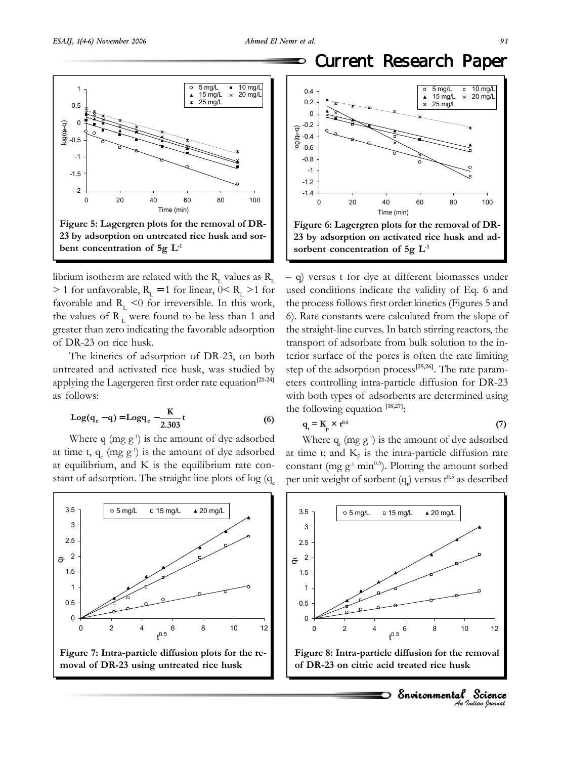⅁



librium isotherm are related with the  $\rm R_{_{L}}$  values as  $\rm R_{_{L}}$  $> 1$  for unfavorable,  $R<sub>L</sub> = 1$  for linear,  $0 < R<sub>L</sub> > 1$  for favorable and  $R<sub>L</sub> < 0$  for irreversible. In this work, the values of  $R_L$  were found to be less than 1 and greater than zero indicating the favorable adsorption of DR-23 on rice husk.

The kinetics of adsorption of DR-23, on both untreated and activated rice husk, was studied by applying the Lagergeren first order rate equation**[21-24]** as follows:

$$
Log(q_e - q) = Logq_e - \frac{K}{2.303}t
$$
 (6)

Where q (mg  $g<sup>-1</sup>$ ) is the amount of dye adsorbed at time t,  $q_e$  (mg  $g<sup>-1</sup>$ ) is the amount of dye adsorbed at equilibrium, and K is the equilibrium rate constant of adsorption. The straight line plots of  $log(q)$ 







– q) versus t for dye at different biomasses under used conditions indicate the validity of Eq. 6 and the process follows first order kinetics (Figures 5 and 6). Rate constants were calculated from the slope of the straight-line curves. In batch stirring reactors, the transport of adsorbate from bulk solution to the interior surface of the pores is often the rate limiting step of the adsorption process**[25,26]**. The rate parameters controlling intra-particle diffusion for DR-23 with both types of adsorbents are determined using the following equation **[18,27]**:

$$
q_t = K_p \times t^{0.5} \tag{7}
$$

Where  $q_t$  (mg  $g^t$ ) is the amount of dye adsorbed at time t; and  $K_p$  is the intra-particle diffusion rate constant (mg  $g^{-1}$  min<sup>0.5</sup>). Plotting the amount sorbed per unit weight of sorbent  $(q_e)$  versus  $t^{0.5}$  as described



*An Indian Journal*

 $\supset$  Environmental Science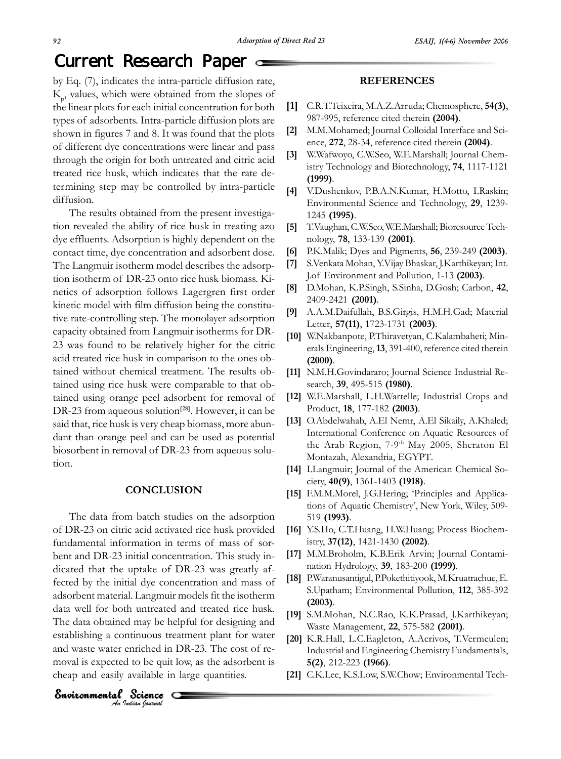# Current Research Paper

by Eq. (7), indicates the intra-particle diffusion rate, K p , values, which were obtained from the slopes of the linear plots for each initial concentration for both types of adsorbents. Intra-particle diffusion plots are shown in figures 7 and 8. It was found that the plots of different dye concentrations were linear and pass through the origin for both untreated and citric acid treated rice husk, which indicates that the rate determining step may be controlled by intra-particle diffusion.

The results obtained from the present investigation revealed the ability of rice husk in treating azo dye effluents. Adsorption is highly dependent on the contact time, dye concentration and adsorbent dose. The Langmuir isotherm model describes the adsorption isotherm of DR-23 onto rice husk biomass. Kinetics of adsorption follows Lagergren first order kinetic model with film diffusion being the constitutive rate-controlling step. The monolayer adsorption capacity obtained from Langmuir isotherms for DR-23 was found to be relatively higher for the citric acid treated rice husk in comparison to the ones obtained without chemical treatment. The results obtained using rice husk were comparable to that obtained using orange peel adsorbent for removal of DR-23 from aqueous solution**[28]**. However, it can be said that, rice husk is very cheap biomass, more abundant than orange peel and can be used as potential biosorbent in removal of DR-23 from aqueous solution.

## **CONCLUSION**

The data from batch studies on the adsorption of DR-23 on citric acid activated rice husk provided fundamental information in terms of mass of sorbent and DR-23 initial concentration. This study indicated that the uptake of DR-23 was greatly affected by the initial dye concentration and mass of adsorbent material. Langmuir models fit the isotherm data well for both untreated and treated rice husk. The data obtained may be helpful for designing and establishing a continuous treatment plant for water and waste water enriched in DR-23. The cost of removal is expected to be quit low, as the adsorbent is cheap and easily available in large quantities.

O

**Environmental Science**<br>An Indian Journal

### **REFERENCES**

- **[1]** C.R.T.Teixeira, M.A.Z.Arruda; Chemosphere, **54(3)**, 987-995, reference cited therein **(2004)**.
- **[2]** M.M.Mohamed; Journal Colloidal Interface and Science, **272**, 28-34, reference cited therein **(2004)**.
- **[3]** W.Wafwoyo, C.W.Seo, W.E.Marshall; Journal Chemistry Technology and Biotechnology, **74**, 1117-1121 **(1999)**.
- **[4]** V.Dushenkov, P.B.A.N.Kumar, H.Motto, I.Raskin; Environmental Science and Technology, **29**, 1239- 1245 **(1995)**.
- **[5]** T.Vaughan, C.W.Seo, W.E.Marshall; Bioresource Technology, **78**, 133-139 **(2001)**.
- **[6]** P.K.Malik; Dyes and Pigments, **56**, 239-249 **(2003)**.
- **[7]** S.Venkata Mohan, Y.Vijay Bhaskar, J.Karthikeyan; Int. J.of Environment and Pollution, 1-13 **(2003)**.
- **[8]** D.Mohan, K.P.Singh, S.Sinha, D.Gosh; Carbon, **42**, 2409-2421 **(2001)**.
- **[9]** A.A.M.Daifullah, B.S.Girgis, H.M.H.Gad; Material Letter, **57(11)**, 1723-1731 **(2003)**.
- **[10]** W.Nakbanpote, P.Thiravetyan, C.Kalambaheti; Minerals Engineering, **13**, 391-400, reference cited therein **(2000)**.
- **[11]** N.M.H.Govindararo; Journal Science Industrial Research, **39**, 495-515 **(1980)**.
- **[12]** W.E.Marshall, L.H.Wartelle; Industrial Crops and Product, **18**, 177-182 **(2003)**.
- **[13]** O.Abdelwahab, A.El Nemr, A.El Sikaily, A.Khaled; International Conference on Aquatic Resources of the Arab Region,  $7-9<sup>th</sup>$  May 2005, Sheraton El Montazah, Alexandria, EGYPT.
- **[14]** I.Langmuir; Journal of the American Chemical Society, **40(9)**, 1361-1403 **(1918)**.
- **[15]** F.M.M.Morel, J.G.Hering; 'Principles and Applications of Aquatic Chemistry', New York, Wiley, 509- 519 **(1993)**.
- **[16]** Y.S.Ho, C.T.Huang, H.W.Huang; Process Biochemistry, **37(12)**, 1421-1430 **(2002)**.
- **[17]** M.M.Broholm, K.B.Erik Arvin; Journal Contamination Hydrology, **39**, 183-200 **(1999)**.
- **[18]** P.Waranusantigul, P.Pokethitiyook, M.Kruatrachue, E. S.Upatham; Environmental Pollution, **112**, 385-392 **(2003)**.
- **[19]** S.M.Mohan, N.C.Rao, K.K.Prasad, J.Karthikeyan; Waste Management, **22**, 575-582 **(2001)**.
- **[20]** K.R.Hall, L.C.Eagleton, A.Acrivos, T.Vermeulen; Industrial and Engineering Chemistry Fundamentals, **5(2)**, 212-223 **(1966)**.
- **[21]** C.K.Lee, K.S.Low, S.W.Chow; Environmental Tech-